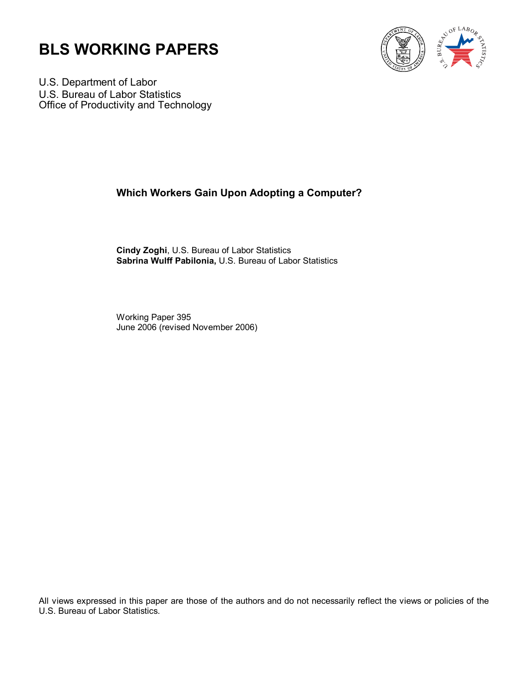



U.S. Department of Labor U.S. Bureau of Labor Statistics Office of Productivity and Technology

### **Which Workers Gain Upon Adopting a Computer?**

**Cindy Zoghi**, U.S. Bureau of Labor Statistics **Sabrina Wulff Pabilonia,** U.S. Bureau of Labor Statistics

Working Paper 395 June 2006 (revised November 2006)

All views expressed in this paper are those of the authors and do not necessarily reflect the views or policies of the U.S. Bureau of Labor Statistics.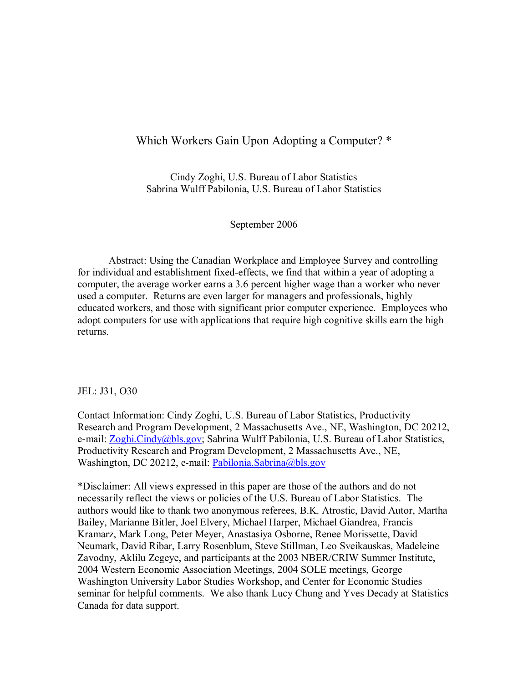# Which Workers Gain Upon Adopting a Computer? \*

Cindy Zoghi, U.S. Bureau of Labor Statistics Sabrina Wulff Pabilonia, U.S. Bureau of Labor Statistics

September 2006

Abstract: Using the Canadian Workplace and Employee Survey and controlling for individual and establishment fixed-effects, we find that within a year of adopting a computer, the average worker earns a 3.6 percent higher wage than a worker who never used a computer. Returns are even larger for managers and professionals, highly educated workers, and those with significant prior computer experience. Employees who adopt computers for use with applications that require high cognitive skills earn the high returns.

#### JEL: J31, O30

Contact Information: Cindy Zoghi, U.S. Bureau of Labor Statistics, Productivity Research and Program Development, 2 Massachusetts Ave., NE, Washington, DC 20212, e-mail: Zoghi.Cindy@bls.gov; Sabrina Wulff Pabilonia, U.S. Bureau of Labor Statistics, Productivity Research and Program Development, 2 Massachusetts Ave., NE, Washington, DC 20212, e-mail: Pabilonia.Sabrina@bls.gov

\*Disclaimer: All views expressed in this paper are those of the authors and do not necessarily reflect the views or policies of the U.S. Bureau of Labor Statistics. The authors would like to thank two anonymous referees, B.K. Atrostic, David Autor, Martha Bailey, Marianne Bitler, Joel Elvery, Michael Harper, Michael Giandrea, Francis Kramarz, Mark Long, Peter Meyer, Anastasiya Osborne, Renee Morissette, David Neumark, David Ribar, Larry Rosenblum, Steve Stillman, Leo Sveikauskas, Madeleine Zavodny, Aklilu Zegeye, and participants at the 2003 NBER/CRIW Summer Institute, 2004 Western Economic Association Meetings, 2004 SOLE meetings, George Washington University Labor Studies Workshop, and Center for Economic Studies seminar for helpful comments. We also thank Lucy Chung and Yves Decady at Statistics Canada for data support.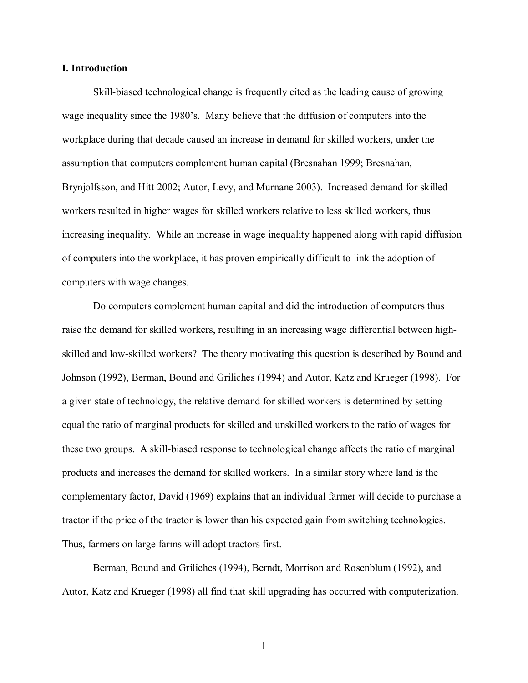#### **I. Introduction**

Skill-biased technological change is frequently cited as the leading cause of growing wage inequality since the 1980's. Many believe that the diffusion of computers into the workplace during that decade caused an increase in demand for skilled workers, under the assumption that computers complement human capital (Bresnahan 1999; Bresnahan, Brynjolfsson, and Hitt 2002; Autor, Levy, and Murnane 2003). Increased demand for skilled workers resulted in higher wages for skilled workers relative to less skilled workers, thus increasing inequality. While an increase in wage inequality happened along with rapid diffusion of computers into the workplace, it has proven empirically difficult to link the adoption of computers with wage changes.

Do computers complement human capital and did the introduction of computers thus raise the demand for skilled workers, resulting in an increasing wage differential between highskilled and low-skilled workers? The theory motivating this question is described by Bound and Johnson (1992), Berman, Bound and Griliches (1994) and Autor, Katz and Krueger (1998). For a given state of technology, the relative demand for skilled workers is determined by setting equal the ratio of marginal products for skilled and unskilled workers to the ratio of wages for these two groups. A skill-biased response to technological change affects the ratio of marginal products and increases the demand for skilled workers. In a similar story where land is the complementary factor, David (1969) explains that an individual farmer will decide to purchase a tractor if the price of the tractor is lower than his expected gain from switching technologies. Thus, farmers on large farms will adopt tractors first.

Berman, Bound and Griliches (1994), Berndt, Morrison and Rosenblum (1992), and Autor, Katz and Krueger (1998) all find that skill upgrading has occurred with computerization.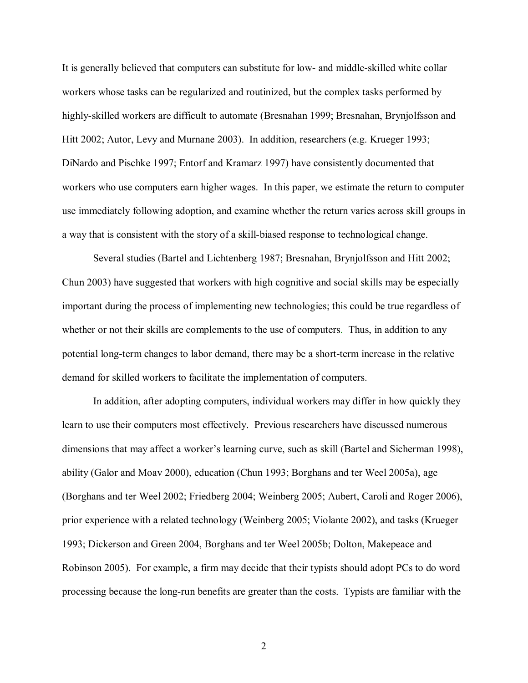It is generally believed that computers can substitute for low- and middle-skilled white collar workers whose tasks can be regularized and routinized, but the complex tasks performed by highly-skilled workers are difficult to automate (Bresnahan 1999; Bresnahan, Brynjolfsson and Hitt 2002; Autor, Levy and Murnane 2003). In addition, researchers (e.g. Krueger 1993; DiNardo and Pischke 1997; Entorf and Kramarz 1997) have consistently documented that workers who use computers earn higher wages. In this paper, we estimate the return to computer use immediately following adoption, and examine whether the return varies across skill groups in a way that is consistent with the story of a skill-biased response to technological change.

Several studies (Bartel and Lichtenberg 1987; Bresnahan, Brynjolfsson and Hitt 2002; Chun 2003) have suggested that workers with high cognitive and social skills may be especially important during the process of implementing new technologies; this could be true regardless of whether or not their skills are complements to the use of computers. Thus, in addition to any potential long-term changes to labor demand, there may be a short-term increase in the relative demand for skilled workers to facilitate the implementation of computers.

In addition, after adopting computers, individual workers may differ in how quickly they learn to use their computers most effectively. Previous researchers have discussed numerous dimensions that may affect a worker's learning curve, such as skill (Bartel and Sicherman 1998), ability (Galor and Moav 2000), education (Chun 1993; Borghans and ter Weel 2005a), age (Borghans and ter Weel 2002; Friedberg 2004; Weinberg 2005; Aubert, Caroli and Roger 2006), prior experience with a related technology (Weinberg 2005; Violante 2002), and tasks (Krueger 1993; Dickerson and Green 2004, Borghans and ter Weel 2005b; Dolton, Makepeace and Robinson 2005). For example, a firm may decide that their typists should adopt PCs to do word processing because the long-run benefits are greater than the costs. Typists are familiar with the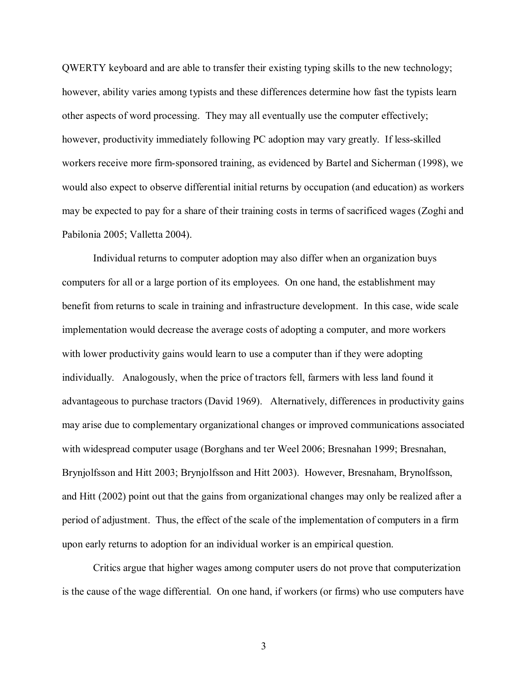QWERTY keyboard and are able to transfer their existing typing skills to the new technology; however, ability varies among typists and these differences determine how fast the typists learn other aspects of word processing. They may all eventually use the computer effectively; however, productivity immediately following PC adoption may vary greatly. If less-skilled workers receive more firm-sponsored training, as evidenced by Bartel and Sicherman (1998), we would also expect to observe differential initial returns by occupation (and education) as workers may be expected to pay for a share of their training costs in terms of sacrificed wages (Zoghi and Pabilonia 2005; Valletta 2004).

Individual returns to computer adoption may also differ when an organization buys computers for all or a large portion of its employees. On one hand, the establishment may benefit from returns to scale in training and infrastructure development. In this case, wide scale implementation would decrease the average costs of adopting a computer, and more workers with lower productivity gains would learn to use a computer than if they were adopting individually. Analogously, when the price of tractors fell, farmers with less land found it advantageous to purchase tractors (David 1969). Alternatively, differences in productivity gains may arise due to complementary organizational changes or improved communications associated with widespread computer usage (Borghans and ter Weel 2006; Bresnahan 1999; Bresnahan, Brynjolfsson and Hitt 2003; Brynjolfsson and Hitt 2003). However, Bresnaham, Brynolfsson, and Hitt (2002) point out that the gains from organizational changes may only be realized after a period of adjustment. Thus, the effect of the scale of the implementation of computers in a firm upon early returns to adoption for an individual worker is an empirical question.

Critics argue that higher wages among computer users do not prove that computerization is the cause of the wage differential. On one hand, if workers (or firms) who use computers have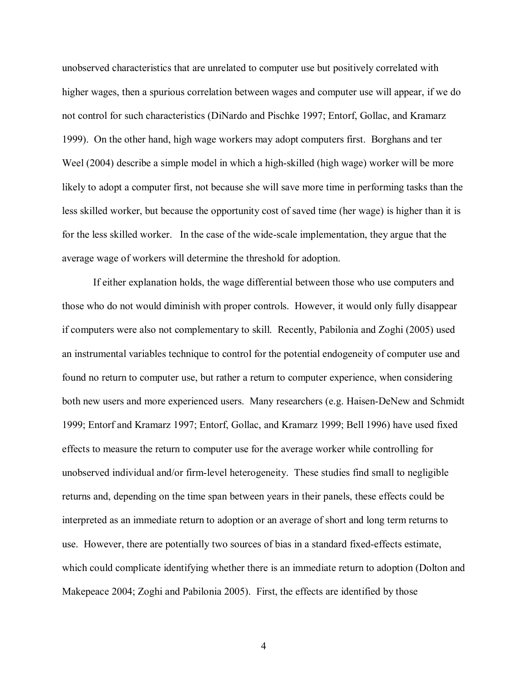unobserved characteristics that are unrelated to computer use but positively correlated with higher wages, then a spurious correlation between wages and computer use will appear, if we do not control for such characteristics (DiNardo and Pischke 1997; Entorf, Gollac, and Kramarz 1999). On the other hand, high wage workers may adopt computers first. Borghans and ter Weel (2004) describe a simple model in which a high-skilled (high wage) worker will be more likely to adopt a computer first, not because she will save more time in performing tasks than the less skilled worker, but because the opportunity cost of saved time (her wage) is higher than it is for the less skilled worker. In the case of the wide-scale implementation, they argue that the average wage of workers will determine the threshold for adoption.

 If either explanation holds, the wage differential between those who use computers and those who do not would diminish with proper controls. However, it would only fully disappear if computers were also not complementary to skill. Recently, Pabilonia and Zoghi (2005) used an instrumental variables technique to control for the potential endogeneity of computer use and found no return to computer use, but rather a return to computer experience, when considering both new users and more experienced users. Many researchers (e.g. Haisen-DeNew and Schmidt 1999; Entorf and Kramarz 1997; Entorf, Gollac, and Kramarz 1999; Bell 1996) have used fixed effects to measure the return to computer use for the average worker while controlling for unobserved individual and/or firm-level heterogeneity. These studies find small to negligible returns and, depending on the time span between years in their panels, these effects could be interpreted as an immediate return to adoption or an average of short and long term returns to use. However, there are potentially two sources of bias in a standard fixed-effects estimate, which could complicate identifying whether there is an immediate return to adoption (Dolton and Makepeace 2004; Zoghi and Pabilonia 2005). First, the effects are identified by those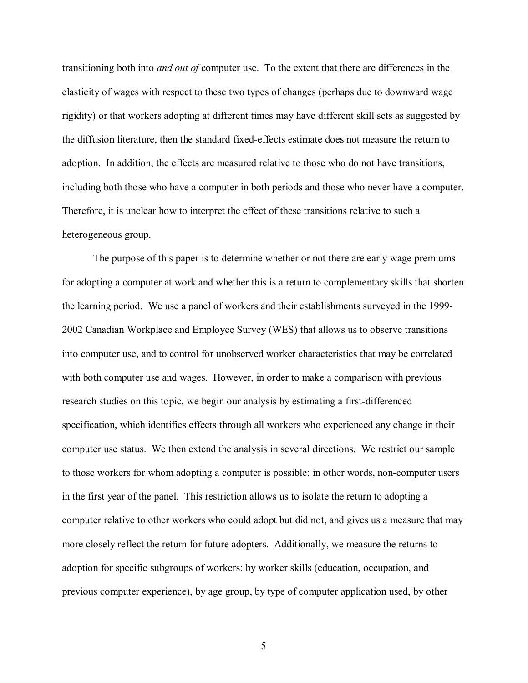transitioning both into *and out of* computer use. To the extent that there are differences in the elasticity of wages with respect to these two types of changes (perhaps due to downward wage rigidity) or that workers adopting at different times may have different skill sets as suggested by the diffusion literature, then the standard fixed-effects estimate does not measure the return to adoption. In addition, the effects are measured relative to those who do not have transitions, including both those who have a computer in both periods and those who never have a computer. Therefore, it is unclear how to interpret the effect of these transitions relative to such a heterogeneous group.

 The purpose of this paper is to determine whether or not there are early wage premiums for adopting a computer at work and whether this is a return to complementary skills that shorten the learning period. We use a panel of workers and their establishments surveyed in the 1999- 2002 Canadian Workplace and Employee Survey (WES) that allows us to observe transitions into computer use, and to control for unobserved worker characteristics that may be correlated with both computer use and wages. However, in order to make a comparison with previous research studies on this topic, we begin our analysis by estimating a first-differenced specification, which identifies effects through all workers who experienced any change in their computer use status. We then extend the analysis in several directions. We restrict our sample to those workers for whom adopting a computer is possible: in other words, non-computer users in the first year of the panel. This restriction allows us to isolate the return to adopting a computer relative to other workers who could adopt but did not, and gives us a measure that may more closely reflect the return for future adopters. Additionally, we measure the returns to adoption for specific subgroups of workers: by worker skills (education, occupation, and previous computer experience), by age group, by type of computer application used, by other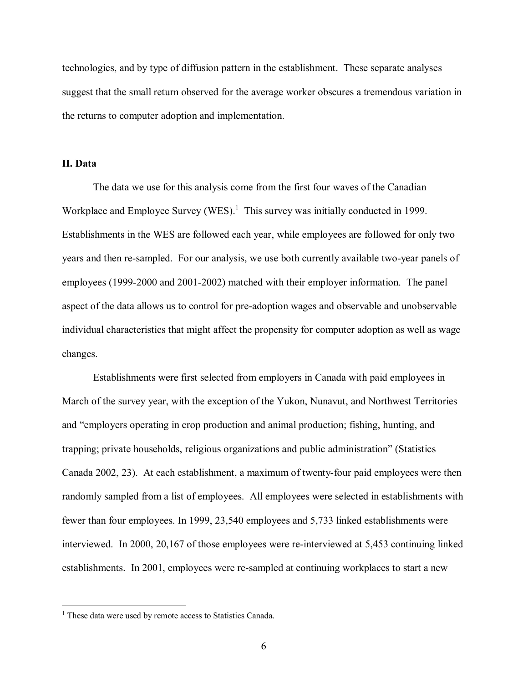technologies, and by type of diffusion pattern in the establishment. These separate analyses suggest that the small return observed for the average worker obscures a tremendous variation in the returns to computer adoption and implementation.

#### **II. Data**

 $\overline{a}$ 

The data we use for this analysis come from the first four waves of the Canadian Workplace and Employee Survey (WES).<sup>1</sup> This survey was initially conducted in 1999. Establishments in the WES are followed each year, while employees are followed for only two years and then re-sampled. For our analysis, we use both currently available two-year panels of employees (1999-2000 and 2001-2002) matched with their employer information. The panel aspect of the data allows us to control for pre-adoption wages and observable and unobservable individual characteristics that might affect the propensity for computer adoption as well as wage changes.

 Establishments were first selected from employers in Canada with paid employees in March of the survey year, with the exception of the Yukon, Nunavut, and Northwest Territories and "employers operating in crop production and animal production; fishing, hunting, and trapping; private households, religious organizations and public administration" (Statistics Canada 2002, 23). At each establishment, a maximum of twenty-four paid employees were then randomly sampled from a list of employees. All employees were selected in establishments with fewer than four employees. In 1999, 23,540 employees and 5,733 linked establishments were interviewed. In 2000, 20,167 of those employees were re-interviewed at 5,453 continuing linked establishments. In 2001, employees were re-sampled at continuing workplaces to start a new

<sup>&</sup>lt;sup>1</sup> These data were used by remote access to Statistics Canada.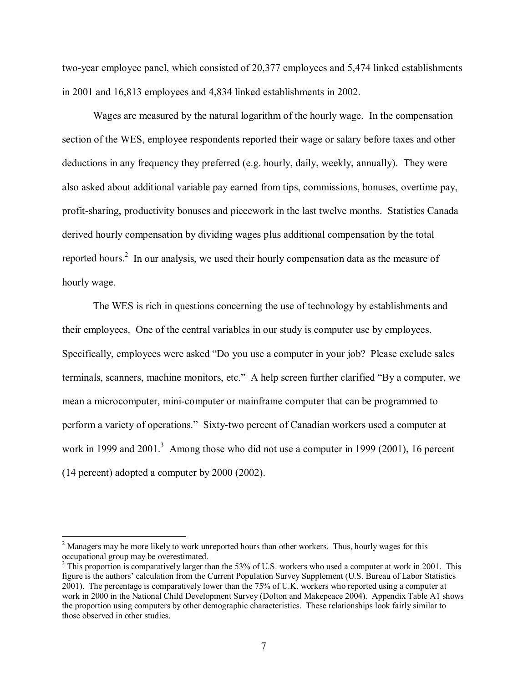two-year employee panel, which consisted of 20,377 employees and 5,474 linked establishments in 2001 and 16,813 employees and 4,834 linked establishments in 2002.

Wages are measured by the natural logarithm of the hourly wage. In the compensation section of the WES, employee respondents reported their wage or salary before taxes and other deductions in any frequency they preferred (e.g. hourly, daily, weekly, annually). They were also asked about additional variable pay earned from tips, commissions, bonuses, overtime pay, profit-sharing, productivity bonuses and piecework in the last twelve months. Statistics Canada derived hourly compensation by dividing wages plus additional compensation by the total reported hours.<sup>2</sup> In our analysis, we used their hourly compensation data as the measure of hourly wage.

 The WES is rich in questions concerning the use of technology by establishments and their employees. One of the central variables in our study is computer use by employees. Specifically, employees were asked "Do you use a computer in your job? Please exclude sales terminals, scanners, machine monitors, etc." A help screen further clarified "By a computer, we mean a microcomputer, mini-computer or mainframe computer that can be programmed to perform a variety of operations." Sixty-two percent of Canadian workers used a computer at work in 1999 and  $2001$ .<sup>3</sup> Among those who did not use a computer in 1999 (2001), 16 percent (14 percent) adopted a computer by 2000 (2002).

 $\overline{a}$ 

 $2^{2}$  Managers may be more likely to work unreported hours than other workers. Thus, hourly wages for this occupational group may be overestimated.

<sup>&</sup>lt;sup>3</sup> This proportion is comparatively larger than the 53% of U.S. workers who used a computer at work in 2001. This figure is the authorsí calculation from the Current Population Survey Supplement (U.S. Bureau of Labor Statistics 2001). The percentage is comparatively lower than the 75% of U.K. workers who reported using a computer at work in 2000 in the National Child Development Survey (Dolton and Makepeace 2004). Appendix Table A1 shows the proportion using computers by other demographic characteristics. These relationships look fairly similar to those observed in other studies.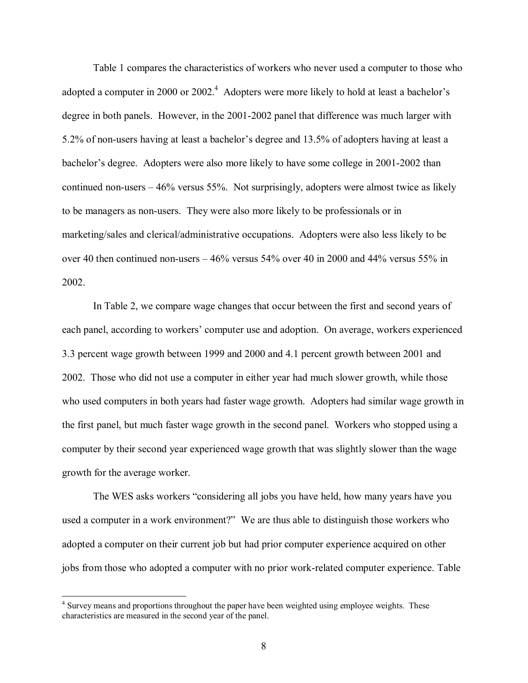Table 1 compares the characteristics of workers who never used a computer to those who adopted a computer in 2000 or 2002.<sup>4</sup> Adopters were more likely to hold at least a bachelor's degree in both panels. However, in the 2001-2002 panel that difference was much larger with 5.2% of non-users having at least a bachelor's degree and  $13.5%$  of adopters having at least a bachelor's degree. Adopters were also more likely to have some college in 2001-2002 than continued non-users  $-46\%$  versus 55%. Not surprisingly, adopters were almost twice as likely to be managers as non-users. They were also more likely to be professionals or in marketing/sales and clerical/administrative occupations. Adopters were also less likely to be over 40 then continued non-users  $-46\%$  versus 54% over 40 in 2000 and 44% versus 55% in 2002.

In Table 2, we compare wage changes that occur between the first and second years of each panel, according to workers' computer use and adoption. On average, workers experienced 3.3 percent wage growth between 1999 and 2000 and 4.1 percent growth between 2001 and 2002. Those who did not use a computer in either year had much slower growth, while those who used computers in both years had faster wage growth. Adopters had similar wage growth in the first panel, but much faster wage growth in the second panel. Workers who stopped using a computer by their second year experienced wage growth that was slightly slower than the wage growth for the average worker.

The WES asks workers "considering all jobs you have held, how many years have you used a computer in a work environment?" We are thus able to distinguish those workers who adopted a computer on their current job but had prior computer experience acquired on other jobs from those who adopted a computer with no prior work-related computer experience. Table

 $\overline{a}$ 

<sup>&</sup>lt;sup>4</sup> Survey means and proportions throughout the paper have been weighted using employee weights. These characteristics are measured in the second year of the panel.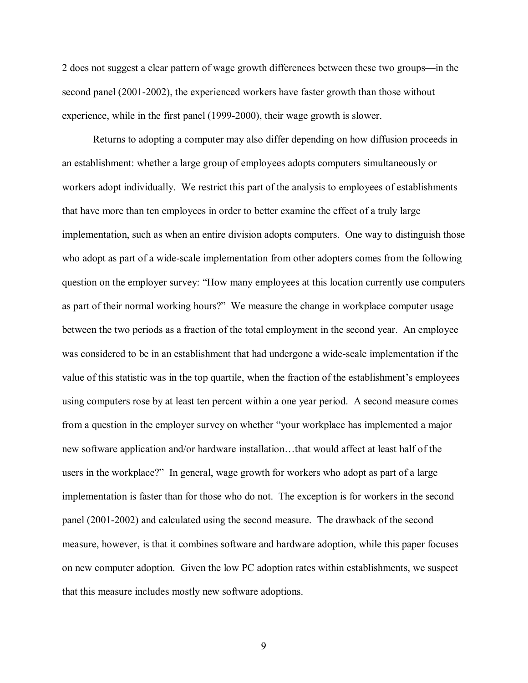2 does not suggest a clear pattern of wage growth differences between these two groups—in the second panel (2001-2002), the experienced workers have faster growth than those without experience, while in the first panel (1999-2000), their wage growth is slower.

Returns to adopting a computer may also differ depending on how diffusion proceeds in an establishment: whether a large group of employees adopts computers simultaneously or workers adopt individually. We restrict this part of the analysis to employees of establishments that have more than ten employees in order to better examine the effect of a truly large implementation, such as when an entire division adopts computers. One way to distinguish those who adopt as part of a wide-scale implementation from other adopters comes from the following question on the employer survey: "How many employees at this location currently use computers as part of their normal working hours?" We measure the change in workplace computer usage between the two periods as a fraction of the total employment in the second year. An employee was considered to be in an establishment that had undergone a wide-scale implementation if the value of this statistic was in the top quartile, when the fraction of the establishment's employees using computers rose by at least ten percent within a one year period. A second measure comes from a question in the employer survey on whether "your workplace has implemented a major new software application and/or hardware installation...that would affect at least half of the users in the workplace?" In general, wage growth for workers who adopt as part of a large implementation is faster than for those who do not. The exception is for workers in the second panel (2001-2002) and calculated using the second measure. The drawback of the second measure, however, is that it combines software and hardware adoption, while this paper focuses on new computer adoption. Given the low PC adoption rates within establishments, we suspect that this measure includes mostly new software adoptions.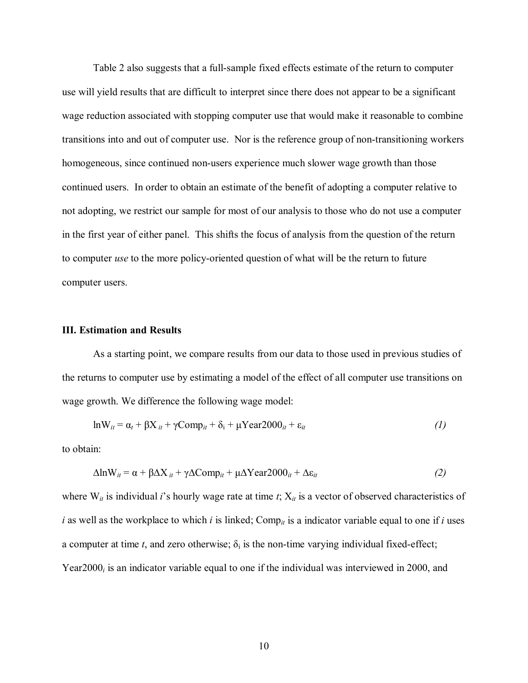Table 2 also suggests that a full-sample fixed effects estimate of the return to computer use will yield results that are difficult to interpret since there does not appear to be a significant wage reduction associated with stopping computer use that would make it reasonable to combine transitions into and out of computer use. Nor is the reference group of non-transitioning workers homogeneous, since continued non-users experience much slower wage growth than those continued users. In order to obtain an estimate of the benefit of adopting a computer relative to not adopting, we restrict our sample for most of our analysis to those who do not use a computer in the first year of either panel. This shifts the focus of analysis from the question of the return to computer *use* to the more policy-oriented question of what will be the return to future computer users.

#### **III. Estimation and Results**

 As a starting point, we compare results from our data to those used in previous studies of the returns to computer use by estimating a model of the effect of all computer use transitions on wage growth. We difference the following wage model:

$$
ln W_{it} = \alpha_t + \beta X_{it} + \gamma Comp_{it} + \delta_i + \mu Year2000_{it} + \varepsilon_{it}
$$
 (1)

to obtain:

$$
\Delta \ln W_{it} = \alpha + \beta \Delta X_{it} + \gamma \Delta \text{Comp}_{it} + \mu \Delta \text{Year2000}_{it} + \Delta \varepsilon_{it}
$$
\n(2)

where  $W_{it}$  is individual *i*'s hourly wage rate at time *t*;  $X_{it}$  is a vector of observed characteristics of *i* as well as the workplace to which *i* is linked; Comp<sub>*it*</sub> is a indicator variable equal to one if *i* uses a computer at time *t*, and zero otherwise;  $\delta_i$  is the non-time varying individual fixed-effect; Year2000*i* is an indicator variable equal to one if the individual was interviewed in 2000, and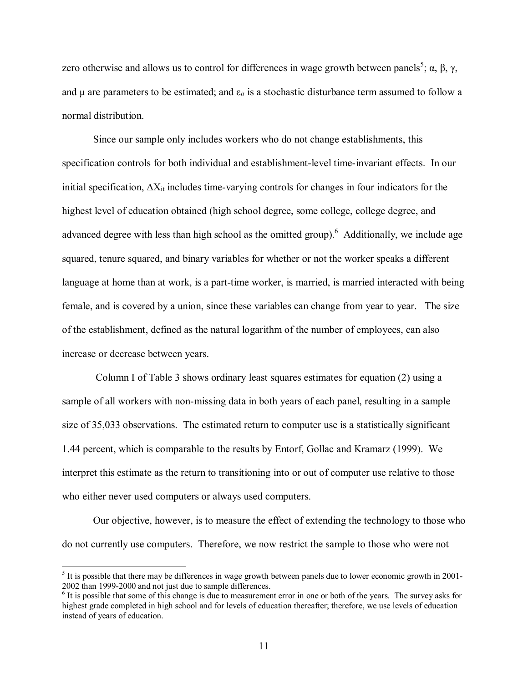zero otherwise and allows us to control for differences in wage growth between panels<sup>5</sup>;  $\alpha$ ,  $\beta$ ,  $\gamma$ , and  $\mu$  are parameters to be estimated; and  $\varepsilon_{it}$  is a stochastic disturbance term assumed to follow a normal distribution.

 Since our sample only includes workers who do not change establishments, this specification controls for both individual and establishment-level time-invariant effects. In our initial specification,  $\Delta X_{it}$  includes time-varying controls for changes in four indicators for the highest level of education obtained (high school degree, some college, college degree, and advanced degree with less than high school as the omitted group). Additionally, we include age squared, tenure squared, and binary variables for whether or not the worker speaks a different language at home than at work, is a part-time worker, is married, is married interacted with being female, and is covered by a union, since these variables can change from year to year. The size of the establishment, defined as the natural logarithm of the number of employees, can also increase or decrease between years.

 Column I of Table 3 shows ordinary least squares estimates for equation (2) using a sample of all workers with non-missing data in both years of each panel, resulting in a sample size of 35,033 observations. The estimated return to computer use is a statistically significant 1.44 percent, which is comparable to the results by Entorf, Gollac and Kramarz (1999). We interpret this estimate as the return to transitioning into or out of computer use relative to those who either never used computers or always used computers.

 Our objective, however, is to measure the effect of extending the technology to those who do not currently use computers. Therefore, we now restrict the sample to those who were not

 $\overline{a}$ 

 $<sup>5</sup>$  It is possible that there may be differences in wage growth between panels due to lower economic growth in 2001-</sup> 2002 than 1999-2000 and not just due to sample differences.

 $6$  It is possible that some of this change is due to measurement error in one or both of the years. The survey asks for highest grade completed in high school and for levels of education thereafter; therefore, we use levels of education instead of years of education.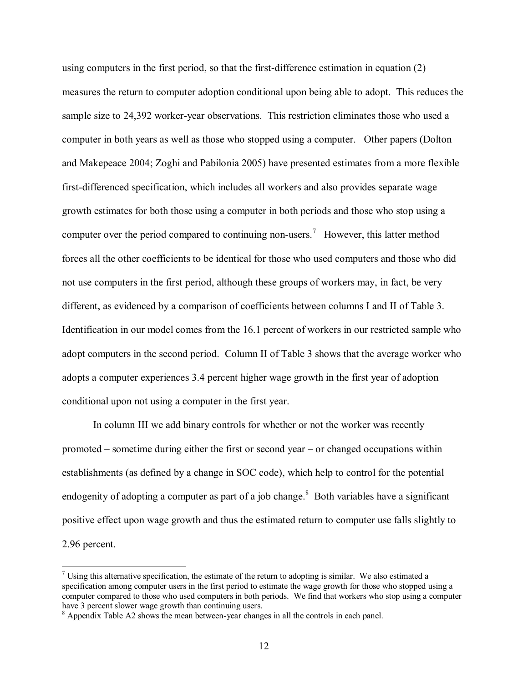using computers in the first period, so that the first-difference estimation in equation (2) measures the return to computer adoption conditional upon being able to adopt. This reduces the sample size to 24,392 worker-year observations. This restriction eliminates those who used a computer in both years as well as those who stopped using a computer. Other papers (Dolton and Makepeace 2004; Zoghi and Pabilonia 2005) have presented estimates from a more flexible first-differenced specification, which includes all workers and also provides separate wage growth estimates for both those using a computer in both periods and those who stop using a computer over the period compared to continuing non-users.<sup>7</sup> However, this latter method forces all the other coefficients to be identical for those who used computers and those who did not use computers in the first period, although these groups of workers may, in fact, be very different, as evidenced by a comparison of coefficients between columns I and II of Table 3. Identification in our model comes from the 16.1 percent of workers in our restricted sample who adopt computers in the second period. Column II of Table 3 shows that the average worker who adopts a computer experiences 3.4 percent higher wage growth in the first year of adoption conditional upon not using a computer in the first year.

 In column III we add binary controls for whether or not the worker was recently promoted  $-$  sometime during either the first or second year  $-$  or changed occupations within establishments (as defined by a change in SOC code), which help to control for the potential endogenity of adopting a computer as part of a job change.<sup>8</sup> Both variables have a significant positive effect upon wage growth and thus the estimated return to computer use falls slightly to 2.96 percent.

 $\overline{a}$ 

 $<sup>7</sup>$  Using this alternative specification, the estimate of the return to adopting is similar. We also estimated a</sup> specification among computer users in the first period to estimate the wage growth for those who stopped using a computer compared to those who used computers in both periods. We find that workers who stop using a computer have 3 percent slower wage growth than continuing users.

<sup>&</sup>lt;sup>8</sup> Appendix Table A2 shows the mean between-year changes in all the controls in each panel.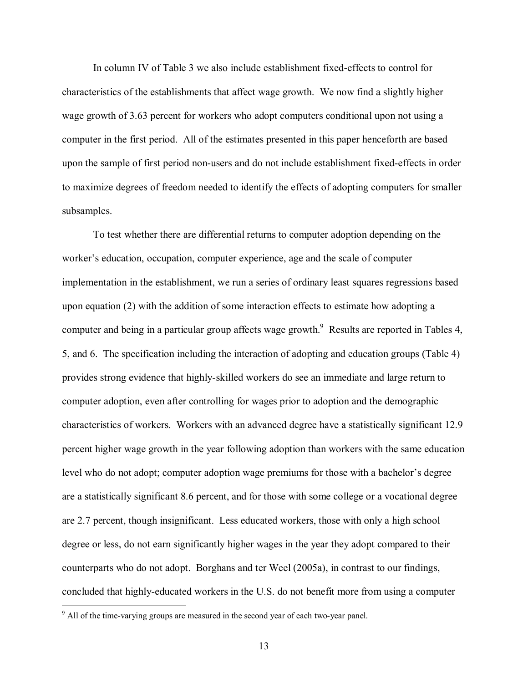In column IV of Table 3 we also include establishment fixed-effects to control for characteristics of the establishments that affect wage growth. We now find a slightly higher wage growth of 3.63 percent for workers who adopt computers conditional upon not using a computer in the first period. All of the estimates presented in this paper henceforth are based upon the sample of first period non-users and do not include establishment fixed-effects in order to maximize degrees of freedom needed to identify the effects of adopting computers for smaller subsamples.

 To test whether there are differential returns to computer adoption depending on the worker's education, occupation, computer experience, age and the scale of computer implementation in the establishment, we run a series of ordinary least squares regressions based upon equation (2) with the addition of some interaction effects to estimate how adopting a computer and being in a particular group affects wage growth.<sup>9</sup> Results are reported in Tables 4, 5, and 6. The specification including the interaction of adopting and education groups (Table 4) provides strong evidence that highly-skilled workers do see an immediate and large return to computer adoption, even after controlling for wages prior to adoption and the demographic characteristics of workers. Workers with an advanced degree have a statistically significant 12.9 percent higher wage growth in the year following adoption than workers with the same education level who do not adopt; computer adoption wage premiums for those with a bachelor's degree are a statistically significant 8.6 percent, and for those with some college or a vocational degree are 2.7 percent, though insignificant. Less educated workers, those with only a high school degree or less, do not earn significantly higher wages in the year they adopt compared to their counterparts who do not adopt. Borghans and ter Weel (2005a), in contrast to our findings, concluded that highly-educated workers in the U.S. do not benefit more from using a computer

<sup>&</sup>lt;sup>9</sup> All of the time-varying groups are measured in the second year of each two-year panel.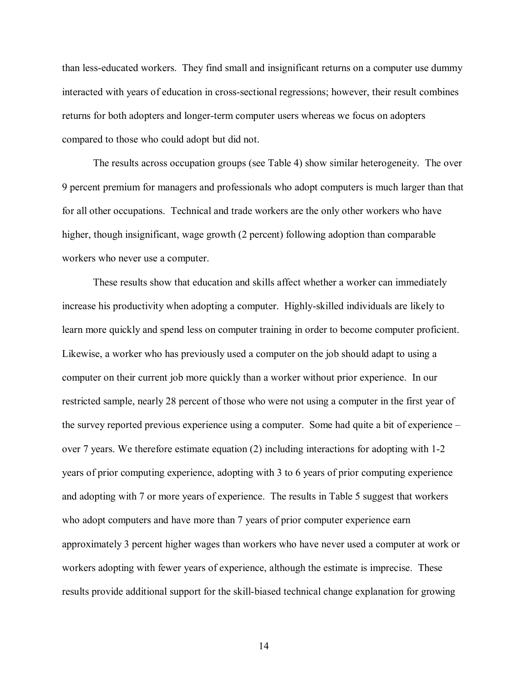than less-educated workers. They find small and insignificant returns on a computer use dummy interacted with years of education in cross-sectional regressions; however, their result combines returns for both adopters and longer-term computer users whereas we focus on adopters compared to those who could adopt but did not.

 The results across occupation groups (see Table 4) show similar heterogeneity. The over 9 percent premium for managers and professionals who adopt computers is much larger than that for all other occupations. Technical and trade workers are the only other workers who have higher, though insignificant, wage growth (2 percent) following adoption than comparable workers who never use a computer.

 These results show that education and skills affect whether a worker can immediately increase his productivity when adopting a computer. Highly-skilled individuals are likely to learn more quickly and spend less on computer training in order to become computer proficient. Likewise, a worker who has previously used a computer on the job should adapt to using a computer on their current job more quickly than a worker without prior experience. In our restricted sample, nearly 28 percent of those who were not using a computer in the first year of the survey reported previous experience using a computer. Some had quite a bit of experience  $-\frac{1}{2}$ over 7 years. We therefore estimate equation (2) including interactions for adopting with 1-2 years of prior computing experience, adopting with 3 to 6 years of prior computing experience and adopting with 7 or more years of experience. The results in Table 5 suggest that workers who adopt computers and have more than 7 years of prior computer experience earn approximately 3 percent higher wages than workers who have never used a computer at work or workers adopting with fewer years of experience, although the estimate is imprecise. These results provide additional support for the skill-biased technical change explanation for growing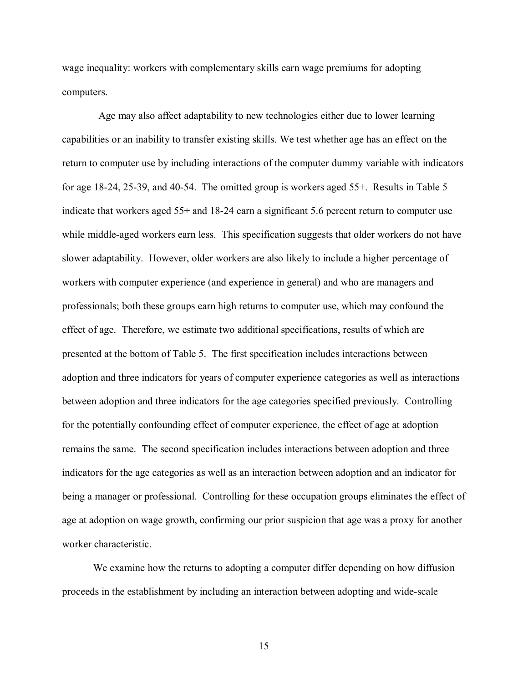wage inequality: workers with complementary skills earn wage premiums for adopting computers.

 Age may also affect adaptability to new technologies either due to lower learning capabilities or an inability to transfer existing skills. We test whether age has an effect on the return to computer use by including interactions of the computer dummy variable with indicators for age 18-24, 25-39, and 40-54. The omitted group is workers aged 55+. Results in Table 5 indicate that workers aged 55+ and 18-24 earn a significant 5.6 percent return to computer use while middle-aged workers earn less. This specification suggests that older workers do not have slower adaptability. However, older workers are also likely to include a higher percentage of workers with computer experience (and experience in general) and who are managers and professionals; both these groups earn high returns to computer use, which may confound the effect of age. Therefore, we estimate two additional specifications, results of which are presented at the bottom of Table 5. The first specification includes interactions between adoption and three indicators for years of computer experience categories as well as interactions between adoption and three indicators for the age categories specified previously. Controlling for the potentially confounding effect of computer experience, the effect of age at adoption remains the same. The second specification includes interactions between adoption and three indicators for the age categories as well as an interaction between adoption and an indicator for being a manager or professional. Controlling for these occupation groups eliminates the effect of age at adoption on wage growth, confirming our prior suspicion that age was a proxy for another worker characteristic.

 We examine how the returns to adopting a computer differ depending on how diffusion proceeds in the establishment by including an interaction between adopting and wide-scale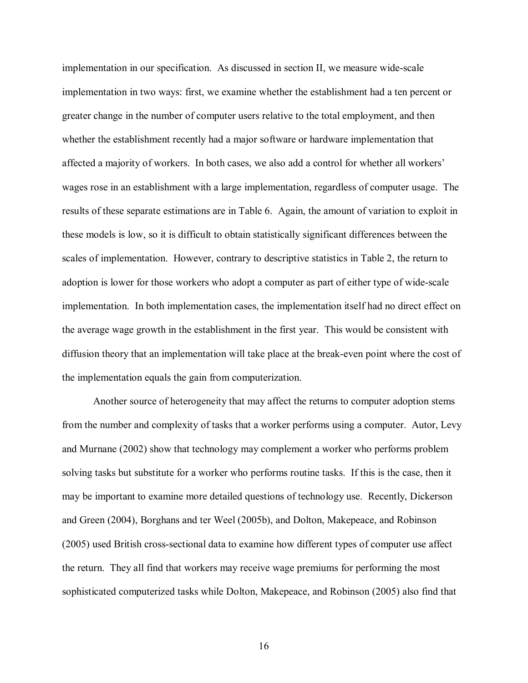implementation in our specification. As discussed in section II, we measure wide-scale implementation in two ways: first, we examine whether the establishment had a ten percent or greater change in the number of computer users relative to the total employment, and then whether the establishment recently had a major software or hardware implementation that affected a majority of workers. In both cases, we also add a control for whether all workers' wages rose in an establishment with a large implementation, regardless of computer usage. The results of these separate estimations are in Table 6. Again, the amount of variation to exploit in these models is low, so it is difficult to obtain statistically significant differences between the scales of implementation. However, contrary to descriptive statistics in Table 2, the return to adoption is lower for those workers who adopt a computer as part of either type of wide-scale implementation. In both implementation cases, the implementation itself had no direct effect on the average wage growth in the establishment in the first year. This would be consistent with diffusion theory that an implementation will take place at the break-even point where the cost of the implementation equals the gain from computerization.

Another source of heterogeneity that may affect the returns to computer adoption stems from the number and complexity of tasks that a worker performs using a computer. Autor, Levy and Murnane (2002) show that technology may complement a worker who performs problem solving tasks but substitute for a worker who performs routine tasks. If this is the case, then it may be important to examine more detailed questions of technology use. Recently, Dickerson and Green (2004), Borghans and ter Weel (2005b), and Dolton, Makepeace, and Robinson (2005) used British cross-sectional data to examine how different types of computer use affect the return. They all find that workers may receive wage premiums for performing the most sophisticated computerized tasks while Dolton, Makepeace, and Robinson (2005) also find that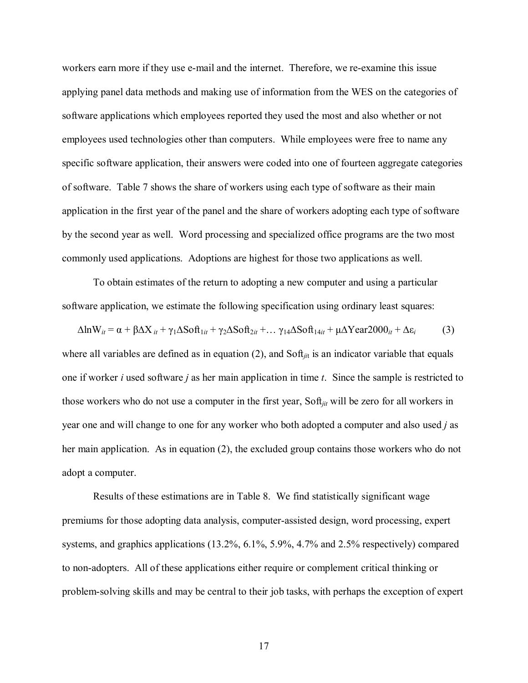workers earn more if they use e-mail and the internet. Therefore, we re-examine this issue applying panel data methods and making use of information from the WES on the categories of software applications which employees reported they used the most and also whether or not employees used technologies other than computers. While employees were free to name any specific software application, their answers were coded into one of fourteen aggregate categories of software. Table 7 shows the share of workers using each type of software as their main application in the first year of the panel and the share of workers adopting each type of software by the second year as well. Word processing and specialized office programs are the two most commonly used applications. Adoptions are highest for those two applications as well.

To obtain estimates of the return to adopting a new computer and using a particular software application, we estimate the following specification using ordinary least squares:

 $\Delta$ lnW<sub>it</sub> =  $\alpha$  +  $\beta \Delta X$ <sub>it</sub> + γ<sub>1</sub> $\Delta$ Soft<sub>1it</sub> + γ<sub>2</sub> $\Delta$ Soft<sub>2it</sub> + ... γ<sub>14</sub> $\Delta$ Soft<sub>14it</sub> +  $\mu \Delta$ Year2000<sub>it</sub> +  $\Delta \varepsilon$ <sub>i</sub> (3) where all variables are defined as in equation (2), and Soft*ji*t is an indicator variable that equals one if worker *i* used software *j* as her main application in time *t*. Since the sample is restricted to those workers who do not use a computer in the first year, Soft*jit* will be zero for all workers in year one and will change to one for any worker who both adopted a computer and also used *j* as her main application. As in equation (2), the excluded group contains those workers who do not adopt a computer.

Results of these estimations are in Table 8. We find statistically significant wage premiums for those adopting data analysis, computer-assisted design, word processing, expert systems, and graphics applications (13.2%, 6.1%, 5.9%, 4.7% and 2.5% respectively) compared to non-adopters. All of these applications either require or complement critical thinking or problem-solving skills and may be central to their job tasks, with perhaps the exception of expert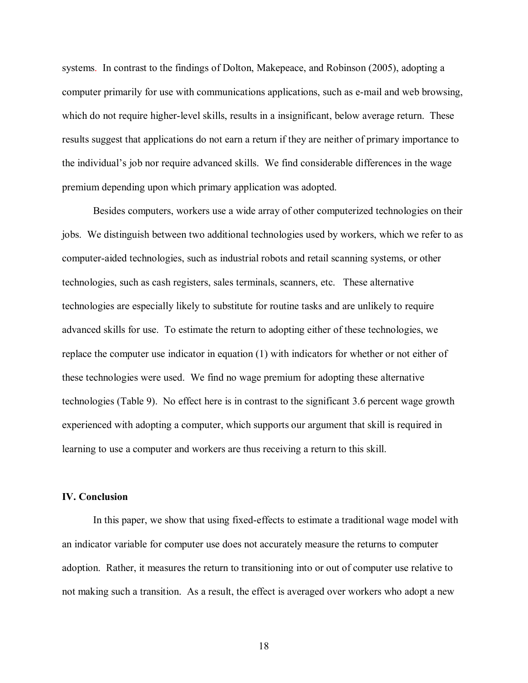systems. In contrast to the findings of Dolton, Makepeace, and Robinson (2005), adopting a computer primarily for use with communications applications, such as e-mail and web browsing, which do not require higher-level skills, results in a insignificant, below average return. These results suggest that applications do not earn a return if they are neither of primary importance to the individual's job nor require advanced skills. We find considerable differences in the wage premium depending upon which primary application was adopted.

Besides computers, workers use a wide array of other computerized technologies on their jobs. We distinguish between two additional technologies used by workers, which we refer to as computer-aided technologies, such as industrial robots and retail scanning systems, or other technologies, such as cash registers, sales terminals, scanners, etc. These alternative technologies are especially likely to substitute for routine tasks and are unlikely to require advanced skills for use. To estimate the return to adopting either of these technologies, we replace the computer use indicator in equation (1) with indicators for whether or not either of these technologies were used. We find no wage premium for adopting these alternative technologies (Table 9). No effect here is in contrast to the significant 3.6 percent wage growth experienced with adopting a computer, which supports our argument that skill is required in learning to use a computer and workers are thus receiving a return to this skill.

#### **IV. Conclusion**

 In this paper, we show that using fixed-effects to estimate a traditional wage model with an indicator variable for computer use does not accurately measure the returns to computer adoption. Rather, it measures the return to transitioning into or out of computer use relative to not making such a transition. As a result, the effect is averaged over workers who adopt a new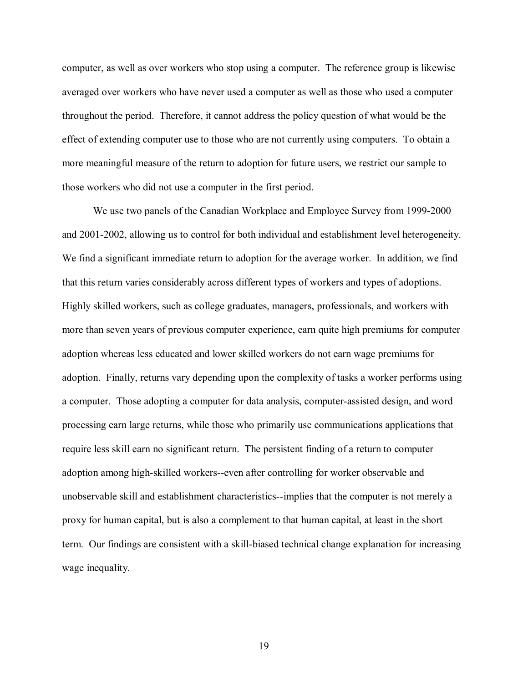computer, as well as over workers who stop using a computer. The reference group is likewise averaged over workers who have never used a computer as well as those who used a computer throughout the period. Therefore, it cannot address the policy question of what would be the effect of extending computer use to those who are not currently using computers. To obtain a more meaningful measure of the return to adoption for future users, we restrict our sample to those workers who did not use a computer in the first period.

 We use two panels of the Canadian Workplace and Employee Survey from 1999-2000 and 2001-2002, allowing us to control for both individual and establishment level heterogeneity. We find a significant immediate return to adoption for the average worker. In addition, we find that this return varies considerably across different types of workers and types of adoptions. Highly skilled workers, such as college graduates, managers, professionals, and workers with more than seven years of previous computer experience, earn quite high premiums for computer adoption whereas less educated and lower skilled workers do not earn wage premiums for adoption. Finally, returns vary depending upon the complexity of tasks a worker performs using a computer. Those adopting a computer for data analysis, computer-assisted design, and word processing earn large returns, while those who primarily use communications applications that require less skill earn no significant return. The persistent finding of a return to computer adoption among high-skilled workers--even after controlling for worker observable and unobservable skill and establishment characteristics--implies that the computer is not merely a proxy for human capital, but is also a complement to that human capital, at least in the short term. Our findings are consistent with a skill-biased technical change explanation for increasing wage inequality.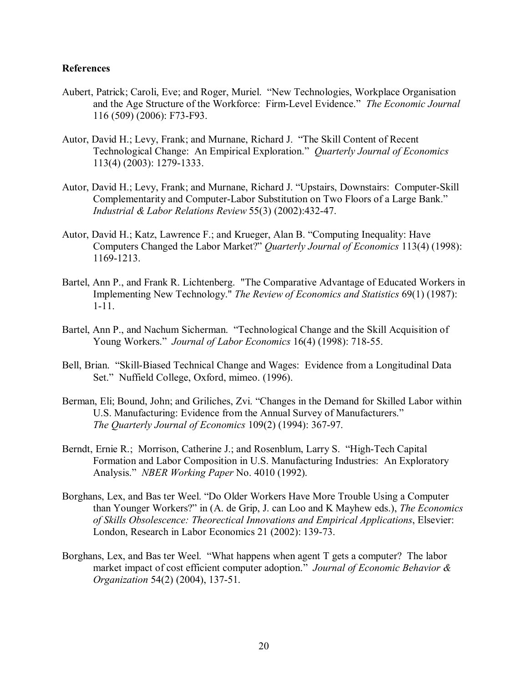#### **References**

- Aubert, Patrick; Caroli, Eve; and Roger, Muriel. "New Technologies, Workplace Organisation and the Age Structure of the Workforce: Firm-Level Evidence.î *The Economic Journal* 116 (509) (2006): F73-F93.
- Autor, David H.; Levy, Frank; and Murnane, Richard J. "The Skill Content of Recent Technological Change: An Empirical Exploration.î *Quarterly Journal of Economics* 113(4) (2003): 1279-1333.
- Autor, David H.; Levy, Frank; and Murnane, Richard J. "Upstairs, Downstairs: Computer-Skill Complementarity and Computer-Labor Substitution on Two Floors of a Large Bank." *Industrial & Labor Relations Review* 55(3) (2002):432-47.
- Autor, David H.; Katz, Lawrence F.; and Krueger, Alan B. "Computing Inequality: Have Computers Changed the Labor Market?î *Quarterly Journal of Economics* 113(4) (1998): 1169-1213.
- Bartel, Ann P., and Frank R. Lichtenberg. "The Comparative Advantage of Educated Workers in Implementing New Technology." *The Review of Economics and Statistics* 69(1) (1987): 1-11.
- Bartel, Ann P., and Nachum Sicherman. "Technological Change and the Skill Acquisition of Young Workers." *Journal of Labor Economics* 16(4) (1998): 718-55.
- Bell, Brian. "Skill-Biased Technical Change and Wages: Evidence from a Longitudinal Data Set." Nuffield College, Oxford, mimeo. (1996).
- Berman, Eli; Bound, John; and Griliches, Zvi. "Changes in the Demand for Skilled Labor within U.S. Manufacturing: Evidence from the Annual Survey of Manufacturers." *The Quarterly Journal of Economics* 109(2) (1994): 367-97.
- Berndt, Ernie R.; Morrison, Catherine J.; and Rosenblum, Larry S. "High-Tech Capital" Formation and Labor Composition in U.S. Manufacturing Industries: An Exploratory Analysis.î *NBER Working Paper* No. 4010 (1992).
- Borghans, Lex, and Bas ter Weel. "Do Older Workers Have More Trouble Using a Computer than Younger Workers?" in (A. de Grip, J. can Loo and K Mayhew eds.), *The Economics of Skills Obsolescence: Theorectical Innovations and Empirical Applications*, Elsevier: London, Research in Labor Economics 21 (2002): 139-73.
- Borghans, Lex, and Bas ter Weel. "What happens when agent T gets a computer? The labor market impact of cost efficient computer adoption." *Journal of Economic Behavior & Organization* 54(2) (2004), 137-51.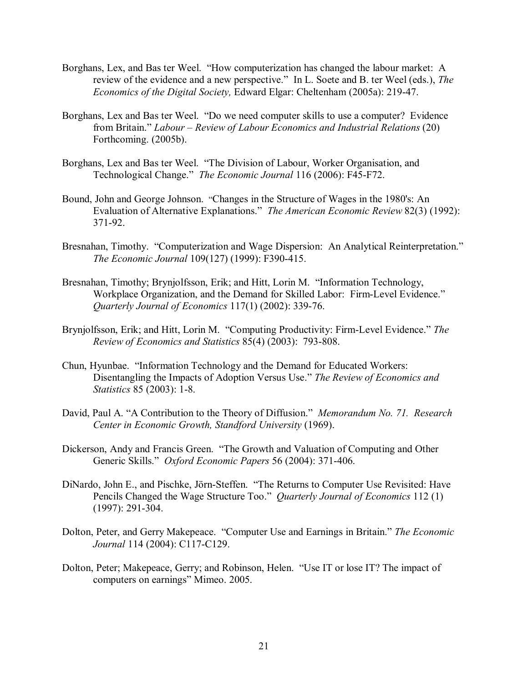- Borghans, Lex, and Bas ter Weel. "How computerization has changed the labour market: A review of the evidence and a new perspective." In L. Soete and B. ter Weel (eds.), *The Economics of the Digital Society,* Edward Elgar: Cheltenham (2005a): 219-47.
- Borghans, Lex and Bas ter Weel. "Do we need computer skills to use a computer? Evidence from Britain." *Labour – Review of Labour Economics and Industrial Relations* (20) Forthcoming. (2005b).
- Borghans, Lex and Bas ter Weel. "The Division of Labour, Worker Organisation, and Technological Change.î *The Economic Journal* 116 (2006): F45-F72.
- Bound, John and George Johnson. "Changes in the Structure of Wages in the 1980's: An Evaluation of Alternative Explanations.<sup>37</sup> *The American Economic Review 82(3) (1992):* 371-92.
- Bresnahan, Timothy. "Computerization and Wage Dispersion: An Analytical Reinterpretation." *The Economic Journal* 109(127) (1999): F390-415.
- Bresnahan, Timothy; Brynjolfsson, Erik; and Hitt, Lorin M. "Information Technology, Workplace Organization, and the Demand for Skilled Labor: Firm-Level Evidence." *Quarterly Journal of Economics* 117(1) (2002): 339-76.
- Brynjolfsson, Erik; and Hitt, Lorin M. "Computing Productivity: Firm-Level Evidence." The *Review of Economics and Statistics* 85(4) (2003): 793-808.
- Chun, Hyunbae. "Information Technology and the Demand for Educated Workers: Disentangling the Impacts of Adoption Versus Use.<sup>"</sup> The Review of Economics and *Statistics* 85 (2003): 1-8.
- David, Paul A. "A Contribution to the Theory of Diffusion." *Memorandum No. 71. Research Center in Economic Growth, Standford University* (1969).
- Dickerson, Andy and Francis Green. "The Growth and Valuation of Computing and Other Generic Skills.î *Oxford Economic Papers* 56 (2004): 371-406.
- DiNardo, John E., and Pischke, Jörn-Steffen. "The Returns to Computer Use Revisited: Have Pencils Changed the Wage Structure Too." *Quarterly Journal of Economics* 112 (1) (1997): 291-304.
- Dolton, Peter, and Gerry Makepeace. "Computer Use and Earnings in Britain." The Economic *Journal* 114 (2004): C117-C129.
- Dolton, Peter; Makepeace, Gerry; and Robinson, Helen. "Use IT or lose IT? The impact of computers on earnings" Mimeo. 2005.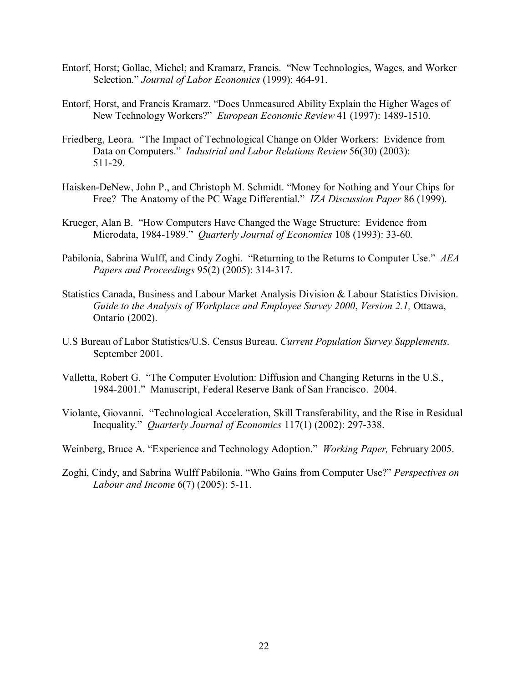- Entorf, Horst; Gollac, Michel; and Kramarz, Francis. "New Technologies, Wages, and Worker Selection." *Journal of Labor Economics* (1999): 464-91.
- Entorf, Horst, and Francis Kramarz. "Does Unmeasured Ability Explain the Higher Wages of New Technology Workers?" *European Economic Review* 41 (1997): 1489-1510.
- Friedberg, Leora. "The Impact of Technological Change on Older Workers: Evidence from Data on Computers." *Industrial and Labor Relations Review* 56(30) (2003): 511-29.
- Haisken-DeNew, John P., and Christoph M. Schmidt. "Money for Nothing and Your Chips for Free? The Anatomy of the PC Wage Differential." *IZA Discussion Paper* 86 (1999).
- Krueger, Alan B. "How Computers Have Changed the Wage Structure: Evidence from Microdata, 1984-1989.î *Quarterly Journal of Economics* 108 (1993): 33-60.
- Pabilonia, Sabrina Wulff, and Cindy Zoghi. "Returning to the Returns to Computer Use." AEA *Papers and Proceedings* 95(2) (2005): 314-317.
- Statistics Canada, Business and Labour Market Analysis Division & Labour Statistics Division. *Guide to the Analysis of Workplace and Employee Survey 2000*, *Version 2.1,* Ottawa, Ontario (2002).
- U.S Bureau of Labor Statistics/U.S. Census Bureau. *Current Population Survey Supplements*. September 2001.
- Valletta, Robert G. "The Computer Evolution: Diffusion and Changing Returns in the U.S., 1984-2001." Manuscript, Federal Reserve Bank of San Francisco. 2004.
- Violante, Giovanni. "Technological Acceleration, Skill Transferability, and the Rise in Residual Inequality.î *Quarterly Journal of Economics* 117(1) (2002): 297-338.
- Weinberg, Bruce A. "Experience and Technology Adoption." *Working Paper*, February 2005.
- Zoghi, Cindy, and Sabrina Wulff Pabilonia. "Who Gains from Computer Use?" Perspectives on *Labour and Income* 6(7) (2005): 5-11.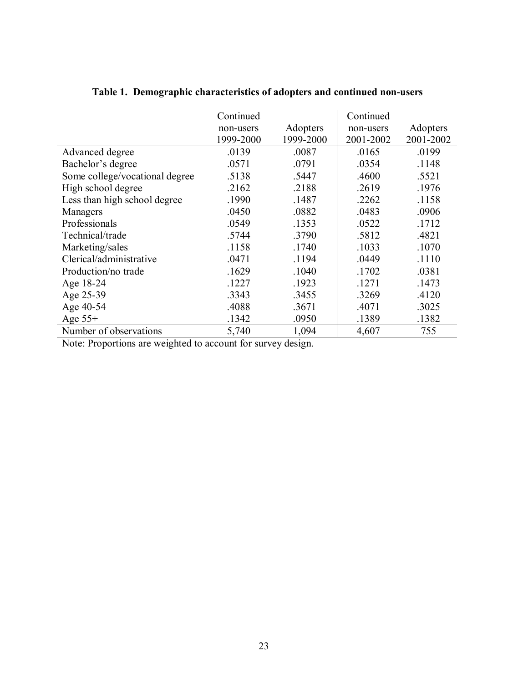|                                | Continued |           | Continued |           |
|--------------------------------|-----------|-----------|-----------|-----------|
|                                | non-users | Adopters  | non-users | Adopters  |
|                                | 1999-2000 | 1999-2000 | 2001-2002 | 2001-2002 |
| Advanced degree                | .0139     | .0087     | .0165     | .0199     |
| Bachelor's degree              | .0571     | .0791     | .0354     | .1148     |
| Some college/vocational degree | .5138     | .5447     | .4600     | .5521     |
| High school degree             | .2162     | .2188     | .2619     | .1976     |
| Less than high school degree   | .1990     | .1487     | .2262     | .1158     |
| Managers                       | .0450     | .0882     | .0483     | .0906     |
| Professionals                  | .0549     | .1353     | .0522     | .1712     |
| Technical/trade                | .5744     | .3790     | .5812     | .4821     |
| Marketing/sales                | .1158     | .1740     | .1033     | .1070     |
| Clerical/administrative        | .0471     | .1194     | .0449     | .1110     |
| Production/no trade            | .1629     | .1040     | .1702     | .0381     |
| Age 18-24                      | .1227     | .1923     | .1271     | .1473     |
| Age 25-39                      | .3343     | .3455     | .3269     | .4120     |
| Age 40-54                      | .4088     | .3671     | .4071     | .3025     |
| Age $55+$                      | .1342     | .0950     | .1389     | .1382     |
| Number of observations         | 5,740     | 1,094     | 4,607     | 755       |

# **Table 1. Demographic characteristics of adopters and continued non-users**

Note: Proportions are weighted to account for survey design.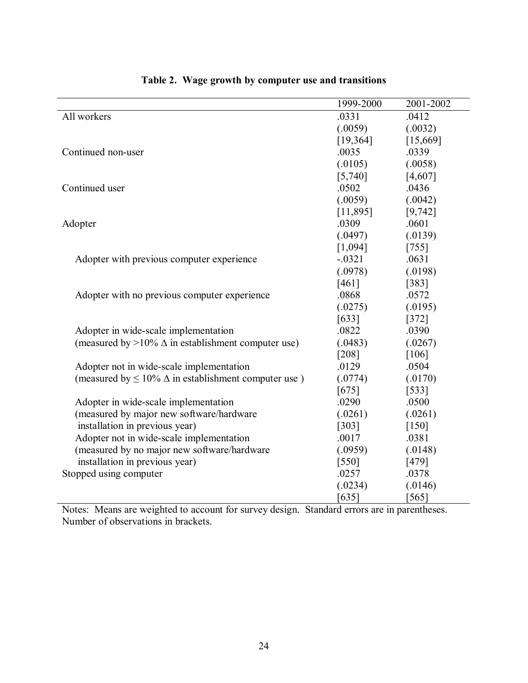|                                                                   | 1999-2000           | 2001-2002 |
|-------------------------------------------------------------------|---------------------|-----------|
| All workers                                                       | .0331               | .0412     |
|                                                                   | (.0059)             | (.0032)   |
|                                                                   | [19, 364]           | [15,669]  |
| Continued non-user                                                | .0035               | .0339     |
|                                                                   | (.0105)             | (.0058)   |
|                                                                   | [5, 740]            | [4,607]   |
| Continued user                                                    | .0502               | .0436     |
|                                                                   | (.0059)             | (.0042)   |
|                                                                   | [11,895]            | [9, 742]  |
| Adopter                                                           | .0309               | .0601     |
|                                                                   | (.0497)             | (.0139)   |
|                                                                   | [1,094]             | $[755]$   |
| Adopter with previous computer experience                         | $-.0321$            | .0631     |
|                                                                   | (.0978)             | (.0198)   |
|                                                                   | [461]               | [383]     |
| Adopter with no previous computer experience                      | .0868               | .0572     |
|                                                                   | (.0275)             | (.0195)   |
|                                                                   | $\lceil 633 \rceil$ | $[372]$   |
| Adopter in wide-scale implementation                              | .0822               | .0390     |
| (measured by $>10\%$ $\Delta$ in establishment computer use)      | (.0483)             | (.0267)   |
|                                                                   | $[208]$             | [106]     |
| Adopter not in wide-scale implementation                          | .0129               | .0504     |
| (measured by $\leq 10\%$ $\Delta$ in establishment computer use ) | (.0774)             | (.0170)   |
|                                                                   | [675]               | $[533]$   |
| Adopter in wide-scale implementation                              | .0290               | .0500     |
| (measured by major new software/hardware                          | (.0261)             | (.0261)   |
| installation in previous year)                                    | $\left[303\right]$  | $[150]$   |
| Adopter not in wide-scale implementation                          | .0017               | .0381     |
| (measured by no major new software/hardware                       | (.0959)             | (.0148)   |
| installation in previous year)                                    | $\left[550\right]$  | $[479]$   |
| Stopped using computer                                            | .0257               | .0378     |
|                                                                   | (.0234)             | (.0146)   |
|                                                                   | [635]               | $[565]$   |

### **Table 2. Wage growth by computer use and transitions**

Notes: Means are weighted to account for survey design. Standard errors are in parentheses. Number of observations in brackets.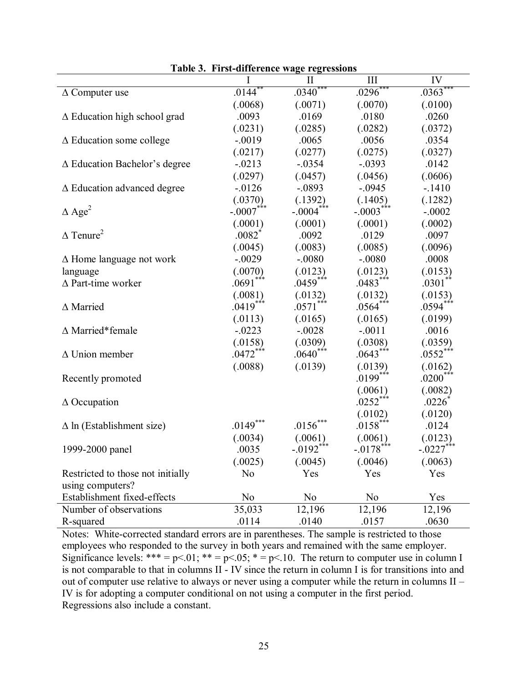|                                        | I                       | $\mathbf{I}$         | III                     | IV                     |
|----------------------------------------|-------------------------|----------------------|-------------------------|------------------------|
| $\Delta$ Computer use                  | $.0144$ <sup>*</sup>    | $.0340$ <sup>*</sup> | $.0296$ <sup>*</sup>    | $.0363$ <sup>*</sup>   |
|                                        | (.0068)                 | (.0071)              | (.0070)                 | (.0100)                |
| $\triangle$ Education high school grad | .0093                   | .0169                | .0180                   | .0260                  |
|                                        | (.0231)                 | (.0285)              | (.0282)                 | (.0372)                |
| $\triangle$ Education some college     | $-.0019$                | .0065                | .0056                   | .0354                  |
|                                        | (.0217)                 | (.0277)              | (.0275)                 | (.0327)                |
| $\Delta$ Education Bachelor's degree   | $-.0213$                | $-0.0354$            | $-.0393$                | .0142                  |
|                                        | (.0297)                 | (.0457)              | (.0456)                 | (.0606)                |
| $\Delta$ Education advanced degree     | $-0.0126$               | $-.0893$             | $-.0945$                | $-.1410$               |
|                                        | (.0370)                 | (.1392)              | (.1405)                 | (.1282)                |
| $\triangle$ Age <sup>2</sup>           | $-.0007***$             | $-.0004***$          | $-.0003***$             | $-.0002$               |
|                                        | (.0001)                 | (.0001)              | (.0001)                 | (.0002)                |
| $\triangle$ Tenure <sup>2</sup>        | $.0082$ <sup>*</sup>    | .0092                | .0129                   | .0097                  |
|                                        | (.0045)                 | (.0083)              | (.0085)                 | (.0096)                |
| $\Delta$ Home language not work        | $-.0029$                | $-.0080$             | $-.0080$                | .0008                  |
| language                               | (.0070)                 | (.0123)              | (.0123)                 | (.0153)                |
| $\triangle$ Part-time worker           | $.0691***$              | $.0459***$           | $.0483***$              | $.0301**$              |
|                                        | $(.0081)$<br>$.0419***$ | (.0132)              | (.0132)                 | (.0153)                |
| $\Delta$ Married                       |                         | $.0571***$           | $.0564***$              | $.0594***$             |
|                                        | (.0113)                 | (.0165)              | (.0165)                 | (.0199)                |
| ∆ Married*female                       | $-.0223$                | $-.0028$             | $-.0011$                | .0016                  |
|                                        | (.0158)                 | (.0309)              | (.0308)                 | (.0359)                |
| $\Delta$ Union member                  | $.0472***$              | $.0640***$           | $.0643***$              | $.0552***$             |
|                                        | (.0088)                 | (.0139)              | (.0139)                 | (.0162)                |
| Recently promoted                      |                         |                      | $.0199***$              | $.0200$ <sup>***</sup> |
|                                        |                         |                      | (.0061)                 | (.0082)                |
| $\triangle$ Occupation                 |                         |                      | $.0252$ ***             | .0226                  |
|                                        |                         |                      | (.0102)                 | (.0120)                |
| $\Delta$ ln (Establishment size)       | $.0149***$              | $.0156^{***}$        | $.0158***$              | .0124                  |
|                                        | (.0034)                 | (.0061)              | (.0061)                 | (.0123)                |
| 1999-2000 panel                        | .0035                   | $-.0192***$          | $-.0178$ <sup>***</sup> | $-.0227$               |
|                                        | (.0025)                 | (.0045)              | (.0046)                 | (.0063)                |
| Restricted to those not initially      | N <sub>0</sub>          | Yes                  | Yes                     | Yes                    |
| using computers?                       |                         |                      |                         |                        |
| Establishment fixed-effects            | N <sub>o</sub>          | N <sub>o</sub>       | N <sub>o</sub>          | Yes                    |
| Number of observations                 | 35,033                  | 12,196               | 12,196                  | 12,196                 |
| R-squared                              | .0114                   | .0140                | .0157                   | .0630                  |

**Table 3. First-difference wage regressions**

Notes: White-corrected standard errors are in parentheses. The sample is restricted to those employees who responded to the survey in both years and remained with the same employer. Significance levels: \*\*\* = p<.01; \*\* = p<.05; \* = p<.10. The return to computer use in column I is not comparable to that in columns II - IV since the return in column I is for transitions into and out of computer use relative to always or never using a computer while the return in columns  $II -$ IV is for adopting a computer conditional on not using a computer in the first period. Regressions also include a constant.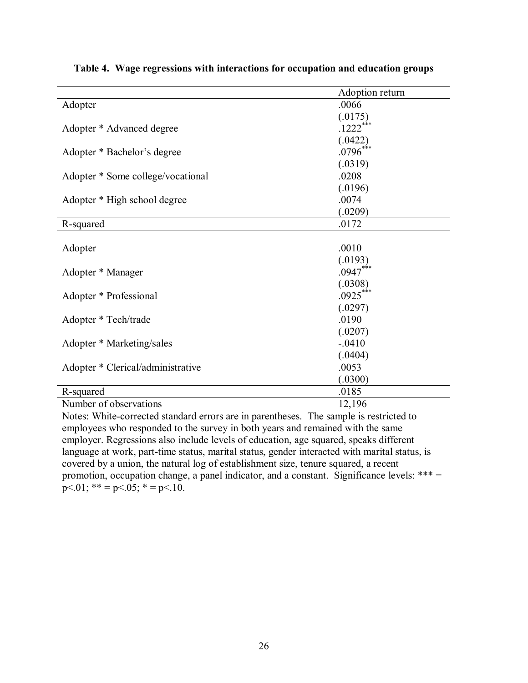|                                   | Adoption return |
|-----------------------------------|-----------------|
| Adopter                           | .0066           |
|                                   | (.0175)         |
| Adopter * Advanced degree         | $.1222***$      |
|                                   | (.0422)         |
| Adopter * Bachelor's degree       | $.0796***$      |
|                                   | (.0319)         |
| Adopter * Some college/vocational | .0208           |
|                                   | (.0196)         |
| Adopter * High school degree      | .0074           |
|                                   | (.0209)         |
| R-squared                         | .0172           |
|                                   |                 |
| Adopter                           | .0010           |
|                                   | (.0193)         |
| Adopter * Manager                 | $.0947***$      |
|                                   | (.0308)         |
| Adopter * Professional            | $.0925***$      |
|                                   | (.0297)         |
| Adopter * Tech/trade              | .0190           |
|                                   | (.0207)         |
| Adopter * Marketing/sales         | $-.0410$        |
|                                   | (.0404)         |
| Adopter * Clerical/administrative | .0053           |
|                                   | (.0300)         |
| R-squared                         | .0185           |
| Number of observations            | 12,196          |

| Table 4. Wage regressions with interactions for occupation and education groups |  |  |  |
|---------------------------------------------------------------------------------|--|--|--|
|                                                                                 |  |  |  |

Notes: White-corrected standard errors are in parentheses. The sample is restricted to employees who responded to the survey in both years and remained with the same employer. Regressions also include levels of education, age squared, speaks different language at work, part-time status, marital status, gender interacted with marital status, is covered by a union, the natural log of establishment size, tenure squared, a recent promotion, occupation change, a panel indicator, and a constant. Significance levels: \*\*\* = p < 0.01; \*\* = p < 0.05; \* = p < 0.10.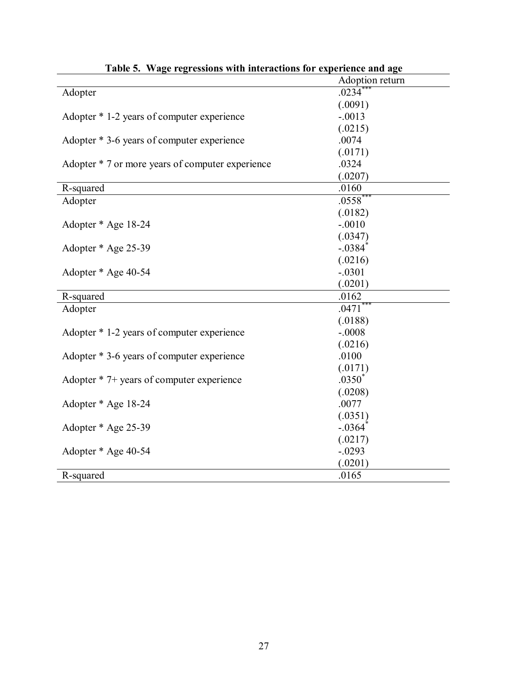| .                                                | Adoption return       |
|--------------------------------------------------|-----------------------|
| Adopter                                          | .0234                 |
|                                                  | (.0091)               |
| Adopter * 1-2 years of computer experience       | $-.0013$              |
|                                                  | (.0215)               |
| Adopter * 3-6 years of computer experience       | .0074                 |
|                                                  | (.0171)               |
| Adopter * 7 or more years of computer experience | .0324                 |
|                                                  | (.0207)               |
| R-squared                                        | .0160                 |
| Adopter                                          | $.0558$ <sup>*</sup>  |
|                                                  | (.0182)               |
| Adopter * Age 18-24                              | $-.0010$              |
|                                                  | (.0347)               |
| Adopter * Age 25-39                              | $-.0384$ <sup>*</sup> |
|                                                  | (.0216)               |
| Adopter * Age 40-54                              | $-.0301$              |
|                                                  | (.0201)               |
| R-squared                                        | .0162                 |
| Adopter                                          | $.0471***$            |
|                                                  | (.0188)               |
| Adopter * 1-2 years of computer experience       | $-.0008$              |
|                                                  | (.0216)               |
| Adopter * 3-6 years of computer experience       | .0100                 |
|                                                  | (.0171)               |
| Adopter * 7+ years of computer experience        | $.0350*$              |
|                                                  | (.0208)               |
| Adopter * Age 18-24                              | .0077                 |
|                                                  | (.0351)               |
| Adopter * Age 25-39                              | $-.0364"$             |
|                                                  | (.0217)               |
| Adopter * Age 40-54                              | $-.0293$              |
|                                                  | (.0201)               |
| R-squared                                        | .0165                 |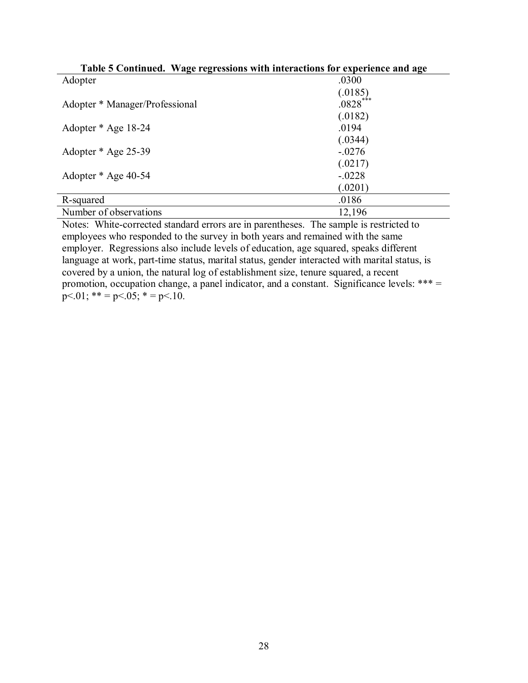| Table 5 Continued. Wage regressions with interactions for experience and age |                            |
|------------------------------------------------------------------------------|----------------------------|
| Adopter                                                                      | .0300                      |
|                                                                              |                            |
| Adopter * Manager/Professional                                               | $(0.0185)$<br>$0.0828$ *** |
|                                                                              | (.0182)                    |
| Adopter * Age 18-24                                                          | .0194                      |
|                                                                              | (.0344)                    |
| Adopter * Age 25-39                                                          | $-.0276$                   |
|                                                                              | (.0217)                    |
| Adopter * Age 40-54                                                          | $-.0228$                   |
|                                                                              | (.0201)                    |
| R-squared                                                                    | .0186                      |
| Number of observations                                                       | 12,196                     |

Notes: White-corrected standard errors are in parentheses. The sample is restricted to employees who responded to the survey in both years and remained with the same employer. Regressions also include levels of education, age squared, speaks different language at work, part-time status, marital status, gender interacted with marital status, is covered by a union, the natural log of establishment size, tenure squared, a recent promotion, occupation change, a panel indicator, and a constant. Significance levels: \*\*\* = p < 0.01;  $** = p \le 0.05$ ;  $* = p \le 10$ .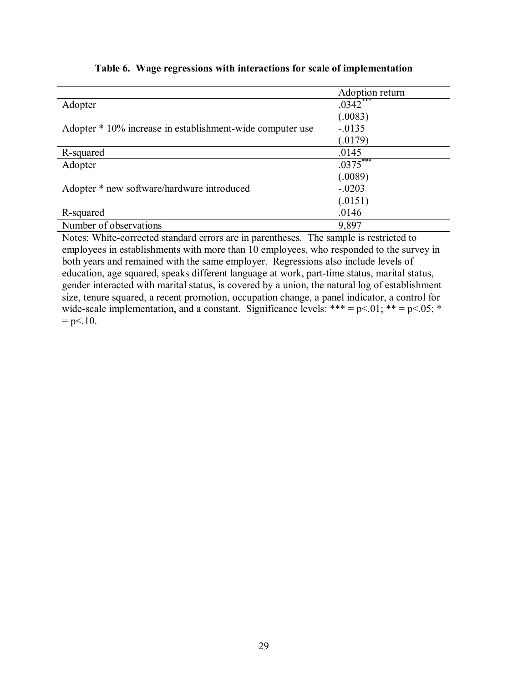|                                                           | Adoption return |
|-----------------------------------------------------------|-----------------|
| Adopter                                                   | $.0342$ ***     |
|                                                           | (.0083)         |
| Adopter * 10% increase in establishment-wide computer use | $-0.0135$       |
|                                                           | (.0179)         |
| R-squared                                                 | .0145           |
| Adopter                                                   | $.0375***$      |
|                                                           | (.0089)         |
| Adopter * new software/hardware introduced                | $-.0203$        |
|                                                           | (.0151)         |
| R-squared                                                 | .0146           |
| Number of observations                                    | 9,897           |

#### **Table 6. Wage regressions with interactions for scale of implementation**

Notes: White-corrected standard errors are in parentheses. The sample is restricted to employees in establishments with more than 10 employees, who responded to the survey in both years and remained with the same employer. Regressions also include levels of education, age squared, speaks different language at work, part-time status, marital status, gender interacted with marital status, is covered by a union, the natural log of establishment size, tenure squared, a recent promotion, occupation change, a panel indicator, a control for wide-scale implementation, and a constant. Significance levels: \*\*\* = p<.01; \*\* = p<.05; \*  $= p < 10$ .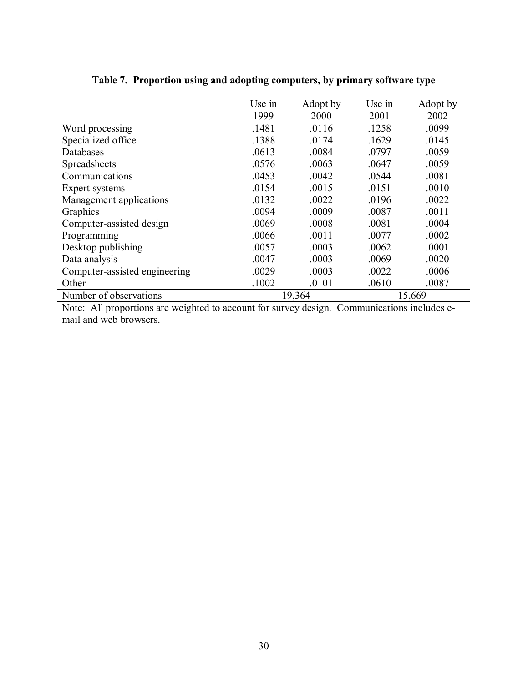|                               | Use in | Adopt by | Use in | Adopt by |
|-------------------------------|--------|----------|--------|----------|
|                               | 1999   | 2000     | 2001   | 2002     |
| Word processing               | .1481  | .0116    | .1258  | .0099    |
| Specialized office            | .1388  | .0174    | .1629  | .0145    |
| Databases                     | .0613  | .0084    | .0797  | .0059    |
| Spreadsheets                  | .0576  | .0063    | .0647  | .0059    |
| Communications                | .0453  | .0042    | .0544  | .0081    |
| Expert systems                | .0154  | .0015    | .0151  | .0010    |
| Management applications       | .0132  | .0022    | .0196  | .0022    |
| Graphics                      | .0094  | .0009    | .0087  | .0011    |
| Computer-assisted design      | .0069  | .0008    | .0081  | .0004    |
| Programming                   | .0066  | .0011    | .0077  | .0002    |
| Desktop publishing            | .0057  | .0003    | .0062  | .0001    |
| Data analysis                 | .0047  | .0003    | .0069  | .0020    |
| Computer-assisted engineering | .0029  | .0003    | .0022  | .0006    |
| Other                         | .1002  | .0101    | .0610  | .0087    |
| Number of observations        |        | 19,364   |        | 15,669   |

### **Table 7. Proportion using and adopting computers, by primary software type**

Note: All proportions are weighted to account for survey design. Communications includes email and web browsers.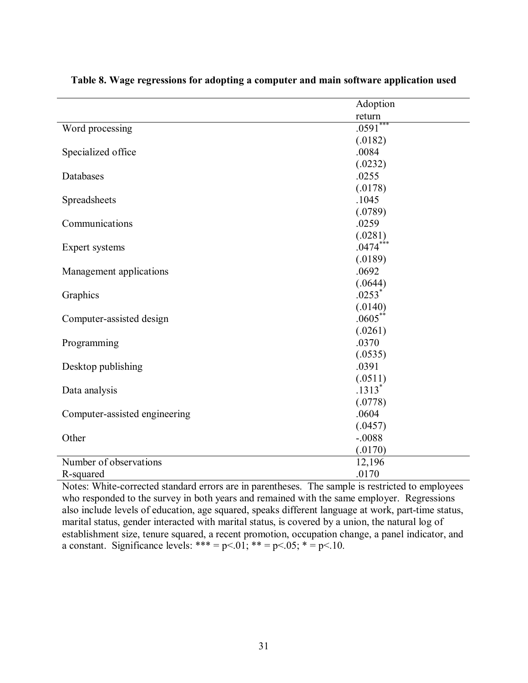|                               | Adoption             |
|-------------------------------|----------------------|
|                               | return               |
| Word processing               | $.0591***$           |
|                               | (.0182)              |
| Specialized office            | .0084                |
|                               | (.0232)              |
| Databases                     | .0255                |
|                               | (.0178)              |
| Spreadsheets                  | .1045                |
|                               | (.0789)              |
| Communications                | .0259                |
|                               | (.0281)              |
| Expert systems                | $.0474***$           |
|                               | (.0189)              |
| Management applications       | .0692                |
|                               | (.0644)              |
| Graphics                      | $.0253$ <sup>*</sup> |
|                               | (.0140)              |
| Computer-assisted design      | $.0605***$           |
|                               | (.0261)              |
| Programming                   | .0370                |
|                               | (.0535)              |
| Desktop publishing            | .0391                |
|                               | (.0511)              |
| Data analysis                 | $.1313*$             |
|                               | (.0778)              |
| Computer-assisted engineering | .0604                |
|                               | (.0457)              |
| Other                         | $-.0088$             |
|                               | (.0170)              |
| Number of observations        | 12,196               |
| R-squared                     | .0170                |

**Table 8. Wage regressions for adopting a computer and main software application used** 

Notes: White-corrected standard errors are in parentheses. The sample is restricted to employees who responded to the survey in both years and remained with the same employer. Regressions also include levels of education, age squared, speaks different language at work, part-time status, marital status, gender interacted with marital status, is covered by a union, the natural log of establishment size, tenure squared, a recent promotion, occupation change, a panel indicator, and a constant. Significance levels: \*\*\* = p<.01; \*\* = p<.05; \* = p<.10.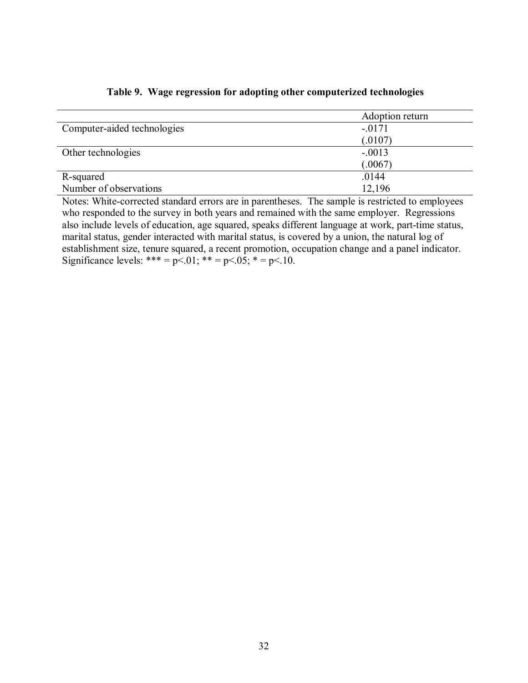|                             | Adoption return |
|-----------------------------|-----------------|
| Computer-aided technologies | $-.0171$        |
|                             | (.0107)         |
| Other technologies          | $-.0013$        |
|                             | (.0067)         |
| R-squared                   | .0144           |
| Number of observations      | 12,196          |

### **Table 9. Wage regression for adopting other computerized technologies**

Notes: White-corrected standard errors are in parentheses. The sample is restricted to employees who responded to the survey in both years and remained with the same employer. Regressions also include levels of education, age squared, speaks different language at work, part-time status, marital status, gender interacted with marital status, is covered by a union, the natural log of establishment size, tenure squared, a recent promotion, occupation change and a panel indicator. Significance levels: \*\*\* = p<.01; \*\* = p<.05; \* = p<.10.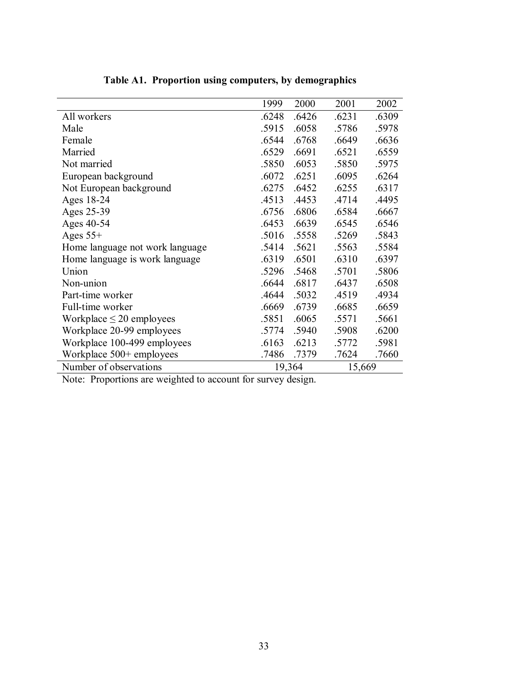|                                 | 1999  | 2000   | 2001   | 2002  |
|---------------------------------|-------|--------|--------|-------|
| All workers                     | .6248 | .6426  | .6231  | .6309 |
| Male                            | .5915 | .6058  | .5786  | .5978 |
| Female                          | .6544 | .6768  | .6649  | .6636 |
| Married                         | .6529 | .6691  | .6521  | .6559 |
| Not married                     | .5850 | .6053  | .5850  | .5975 |
| European background             | .6072 | .6251  | .6095  | .6264 |
| Not European background         | .6275 | .6452  | .6255  | .6317 |
| Ages 18-24                      | .4513 | .4453  | .4714  | .4495 |
| Ages 25-39                      | .6756 | .6806  | .6584  | .6667 |
| Ages 40-54                      | .6453 | .6639  | .6545  | .6546 |
| Ages $55+$                      | .5016 | .5558  | .5269  | .5843 |
| Home language not work language | .5414 | .5621  | .5563  | .5584 |
| Home language is work language  | .6319 | .6501  | .6310  | .6397 |
| Union                           | .5296 | .5468  | .5701  | .5806 |
| Non-union                       | .6644 | .6817  | .6437  | .6508 |
| Part-time worker                | .4644 | .5032  | .4519  | .4934 |
| Full-time worker                | .6669 | .6739  | .6685  | .6659 |
| Workplace $\leq 20$ employees   | .5851 | .6065  | .5571  | .5661 |
| Workplace 20-99 employees       | .5774 | .5940  | .5908  | .6200 |
| Workplace 100-499 employees     | .6163 | .6213  | .5772  | .5981 |
| Workplace 500+ employees        | .7486 | .7379  | .7624  | .7660 |
| Number of observations          |       | 19,364 | 15,669 |       |
|                                 |       |        |        |       |

|  |  | Table A1. Proportion using computers, by demographics |
|--|--|-------------------------------------------------------|
|  |  |                                                       |

Note: Proportions are weighted to account for survey design.